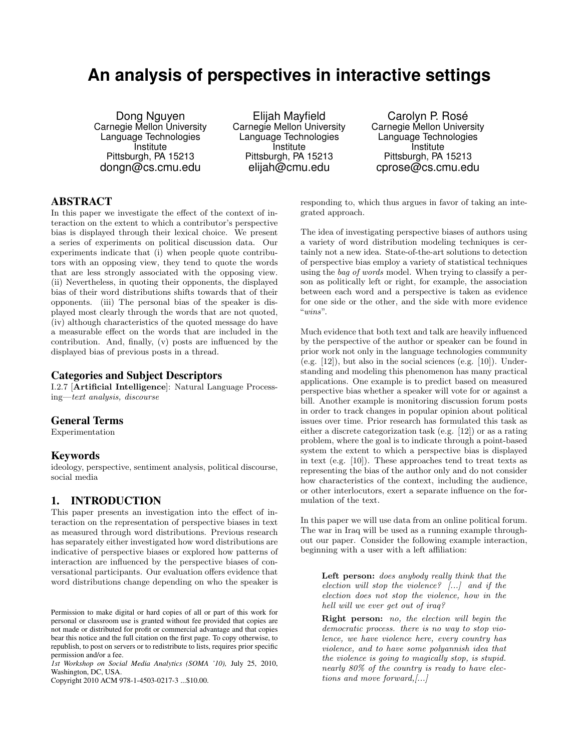# **An analysis of perspectives in interactive settings**

Dong Nguyen Carnegie Mellon University Language Technologies Institute Pittsburgh, PA 15213 dongn@cs.cmu.edu

Elijah Mayfield Carnegie Mellon University Language Technologies Institute Pittsburgh, PA 15213 elijah@cmu.edu

Carolyn P. Rosé Carnegie Mellon University Language Technologies Institute Pittsburgh, PA 15213 cprose@cs.cmu.edu

# ABSTRACT

In this paper we investigate the effect of the context of interaction on the extent to which a contributor's perspective bias is displayed through their lexical choice. We present a series of experiments on political discussion data. Our experiments indicate that (i) when people quote contributors with an opposing view, they tend to quote the words that are less strongly associated with the opposing view. (ii) Nevertheless, in quoting their opponents, the displayed bias of their word distributions shifts towards that of their opponents. (iii) The personal bias of the speaker is displayed most clearly through the words that are not quoted, (iv) although characteristics of the quoted message do have a measurable effect on the words that are included in the contribution. And, finally, (v) posts are influenced by the displayed bias of previous posts in a thread.

### Categories and Subject Descriptors

I.2.7 [Artificial Intelligence]: Natural Language Processing—text analysis, discourse

# General Terms

Experimentation

# Keywords

ideology, perspective, sentiment analysis, political discourse, social media

# 1. INTRODUCTION

This paper presents an investigation into the effect of interaction on the representation of perspective biases in text as measured through word distributions. Previous research has separately either investigated how word distributions are indicative of perspective biases or explored how patterns of interaction are influenced by the perspective biases of conversational participants. Our evaluation offers evidence that word distributions change depending on who the speaker is

*1st Workshop on Social Media Analytics (SOMA '10),* July 25, 2010, Washington, DC, USA.

Copyright 2010 ACM 978-1-4503-0217-3 ...\$10.00.

responding to, which thus argues in favor of taking an integrated approach.

The idea of investigating perspective biases of authors using a variety of word distribution modeling techniques is certainly not a new idea. State-of-the-art solutions to detection of perspective bias employ a variety of statistical techniques using the bag of words model. When trying to classify a person as politically left or right, for example, the association between each word and a perspective is taken as evidence for one side or the other, and the side with more evidence  $\alpha_{\text{min},s}$ ".

Much evidence that both text and talk are heavily influenced by the perspective of the author or speaker can be found in prior work not only in the language technologies community (e.g. [12]), but also in the social sciences (e.g. [10]). Understanding and modeling this phenomenon has many practical applications. One example is to predict based on measured perspective bias whether a speaker will vote for or against a bill. Another example is monitoring discussion forum posts in order to track changes in popular opinion about political issues over time. Prior research has formulated this task as either a discrete categorization task (e.g. [12]) or as a rating problem, where the goal is to indicate through a point-based system the extent to which a perspective bias is displayed in text (e.g. [10]). These approaches tend to treat texts as representing the bias of the author only and do not consider how characteristics of the context, including the audience, or other interlocutors, exert a separate influence on the formulation of the text.

In this paper we will use data from an online political forum. The war in Iraq will be used as a running example throughout our paper. Consider the following example interaction, beginning with a user with a left affiliation:

Left person: does anybody really think that the election will stop the violence? [...] and if the election does not stop the violence, how in the hell will we ever get out of iraq?

Right person: no, the election will begin the democratic process. there is no way to stop violence, we have violence here, every country has violence, and to have some polyannish idea that the violence is going to magically stop, is stupid. nearly 80% of the country is ready to have elections and move forward,[...]

Permission to make digital or hard copies of all or part of this work for personal or classroom use is granted without fee provided that copies are not made or distributed for profit or commercial advantage and that copies bear this notice and the full citation on the first page. To copy otherwise, to republish, to post on servers or to redistribute to lists, requires prior specific permission and/or a fee.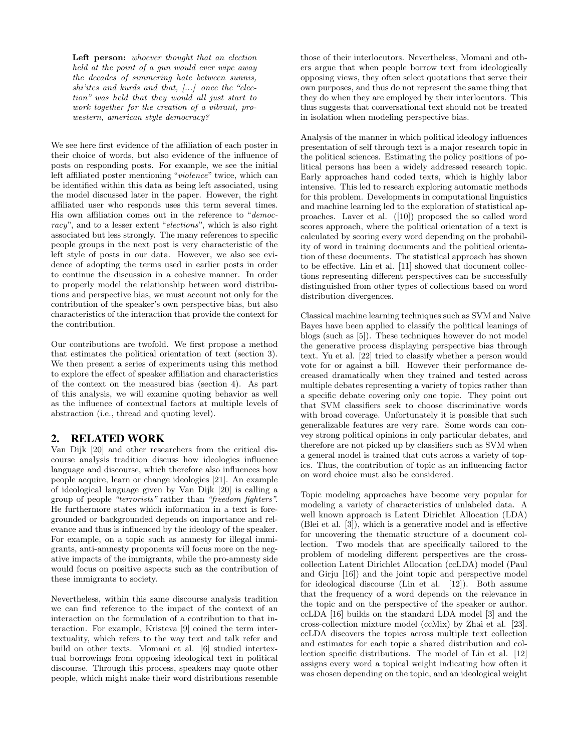Left person: whoever thought that an election held at the point of a gun would ever wipe away the decades of simmering hate between sunnis, shi'ites and kurds and that, [...] once the "election" was held that they would all just start to work together for the creation of a vibrant, prowestern, american style democracy?

We see here first evidence of the affiliation of each poster in their choice of words, but also evidence of the influence of posts on responding posts. For example, we see the initial left affiliated poster mentioning "violence" twice, which can be identified within this data as being left associated, using the model discussed later in the paper. However, the right affiliated user who responds uses this term several times. His own affiliation comes out in the reference to "democracy", and to a lesser extent "elections", which is also right associated but less strongly. The many references to specific people groups in the next post is very characteristic of the left style of posts in our data. However, we also see evidence of adopting the terms used in earlier posts in order to continue the discussion in a cohesive manner. In order to properly model the relationship between word distributions and perspective bias, we must account not only for the contribution of the speaker's own perspective bias, but also characteristics of the interaction that provide the context for the contribution.

Our contributions are twofold. We first propose a method that estimates the political orientation of text (section 3). We then present a series of experiments using this method to explore the effect of speaker affiliation and characteristics of the context on the measured bias (section 4). As part of this analysis, we will examine quoting behavior as well as the influence of contextual factors at multiple levels of abstraction (i.e., thread and quoting level).

# 2. RELATED WORK

Van Dijk [20] and other researchers from the critical discourse analysis tradition discuss how ideologies influence language and discourse, which therefore also influences how people acquire, learn or change ideologies [21]. An example of ideological language given by Van Dijk [20] is calling a group of people "terrorists" rather than "freedom fighters". He furthermore states which information in a text is foregrounded or backgrounded depends on importance and relevance and thus is influenced by the ideology of the speaker. For example, on a topic such as amnesty for illegal immigrants, anti-amnesty proponents will focus more on the negative impacts of the immigrants, while the pro-amnesty side would focus on positive aspects such as the contribution of these immigrants to society.

Nevertheless, within this same discourse analysis tradition we can find reference to the impact of the context of an interaction on the formulation of a contribution to that interaction. For example, Kristeva [9] coined the term intertextuality, which refers to the way text and talk refer and build on other texts. Momani et al. [6] studied intertextual borrowings from opposing ideological text in political discourse. Through this process, speakers may quote other people, which might make their word distributions resemble those of their interlocutors. Nevertheless, Momani and others argue that when people borrow text from ideologically opposing views, they often select quotations that serve their own purposes, and thus do not represent the same thing that they do when they are employed by their interlocutors. This thus suggests that conversational text should not be treated in isolation when modeling perspective bias.

Analysis of the manner in which political ideology influences presentation of self through text is a major research topic in the political sciences. Estimating the policy positions of political persons has been a widely addressed research topic. Early approaches hand coded texts, which is highly labor intensive. This led to research exploring automatic methods for this problem. Developments in computational linguistics and machine learning led to the exploration of statistical approaches. Laver et al. ([10]) proposed the so called word scores approach, where the political orientation of a text is calculated by scoring every word depending on the probability of word in training documents and the political orientation of these documents. The statistical approach has shown to be effective. Lin et al. [11] showed that document collections representing different perspectives can be successfully distinguished from other types of collections based on word distribution divergences.

Classical machine learning techniques such as SVM and Naive Bayes have been applied to classify the political leanings of blogs (such as [5]). These techniques however do not model the generative process displaying perspective bias through text. Yu et al. [22] tried to classify whether a person would vote for or against a bill. However their performance decreased dramatically when they trained and tested across multiple debates representing a variety of topics rather than a specific debate covering only one topic. They point out that SVM classifiers seek to choose discriminative words with broad coverage. Unfortunately it is possible that such generalizable features are very rare. Some words can convey strong political opinions in only particular debates, and therefore are not picked up by classifiers such as SVM when a general model is trained that cuts across a variety of topics. Thus, the contribution of topic as an influencing factor on word choice must also be considered.

Topic modeling approaches have become very popular for modeling a variety of characteristics of unlabeled data. A well known approach is Latent Dirichlet Allocation (LDA) (Blei et al. [3]), which is a generative model and is effective for uncovering the thematic structure of a document collection. Two models that are specifically tailored to the problem of modeling different perspectives are the crosscollection Latent Dirichlet Allocation (ccLDA) model (Paul and Girju [16]) and the joint topic and perspective model for ideological discourse (Lin et al. [12]). Both assume that the frequency of a word depends on the relevance in the topic and on the perspective of the speaker or author. ccLDA [16] builds on the standard LDA model [3] and the cross-collection mixture model (ccMix) by Zhai et al. [23]. ccLDA discovers the topics across multiple text collection and estimates for each topic a shared distribution and collection specific distributions. The model of Lin et al. [12] assigns every word a topical weight indicating how often it was chosen depending on the topic, and an ideological weight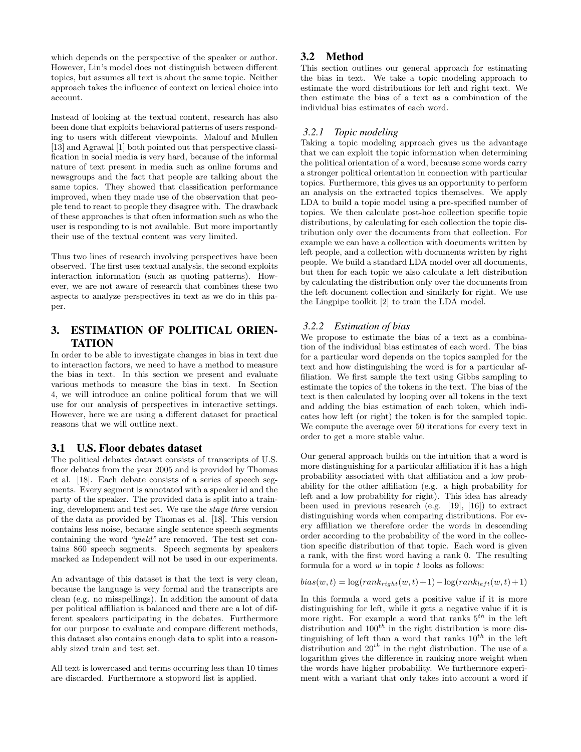which depends on the perspective of the speaker or author. However, Lin's model does not distinguish between different topics, but assumes all text is about the same topic. Neither approach takes the influence of context on lexical choice into account.

Instead of looking at the textual content, research has also been done that exploits behavioral patterns of users responding to users with different viewpoints. Malouf and Mullen [13] and Agrawal [1] both pointed out that perspective classification in social media is very hard, because of the informal nature of text present in media such as online forums and newsgroups and the fact that people are talking about the same topics. They showed that classification performance improved, when they made use of the observation that people tend to react to people they disagree with. The drawback of these approaches is that often information such as who the user is responding to is not available. But more importantly their use of the textual content was very limited.

Thus two lines of research involving perspectives have been observed. The first uses textual analysis, the second exploits interaction information (such as quoting patterns). However, we are not aware of research that combines these two aspects to analyze perspectives in text as we do in this paper.

# 3. ESTIMATION OF POLITICAL ORIEN-TATION

In order to be able to investigate changes in bias in text due to interaction factors, we need to have a method to measure the bias in text. In this section we present and evaluate various methods to measure the bias in text. In Section 4, we will introduce an online political forum that we will use for our analysis of perspectives in interactive settings. However, here we are using a different dataset for practical reasons that we will outline next.

# 3.1 U.S. Floor debates dataset

The political debates dataset consists of transcripts of U.S. floor debates from the year 2005 and is provided by Thomas et al. [18]. Each debate consists of a series of speech segments. Every segment is annotated with a speaker id and the party of the speaker. The provided data is split into a training, development and test set. We use the stage three version of the data as provided by Thomas et al. [18]. This version contains less noise, because single sentence speech segments containing the word "yield" are removed. The test set contains 860 speech segments. Speech segments by speakers marked as Independent will not be used in our experiments.

An advantage of this dataset is that the text is very clean, because the language is very formal and the transcripts are clean (e.g. no misspellings). In addition the amount of data per political affiliation is balanced and there are a lot of different speakers participating in the debates. Furthermore for our purpose to evaluate and compare different methods, this dataset also contains enough data to split into a reasonably sized train and test set.

All text is lowercased and terms occurring less than 10 times are discarded. Furthermore a stopword list is applied.

# 3.2 Method

This section outlines our general approach for estimating the bias in text. We take a topic modeling approach to estimate the word distributions for left and right text. We then estimate the bias of a text as a combination of the individual bias estimates of each word.

# *3.2.1 Topic modeling*

Taking a topic modeling approach gives us the advantage that we can exploit the topic information when determining the political orientation of a word, because some words carry a stronger political orientation in connection with particular topics. Furthermore, this gives us an opportunity to perform an analysis on the extracted topics themselves. We apply LDA to build a topic model using a pre-specified number of topics. We then calculate post-hoc collection specific topic distributions, by calculating for each collection the topic distribution only over the documents from that collection. For example we can have a collection with documents written by left people, and a collection with documents written by right people. We build a standard LDA model over all documents, but then for each topic we also calculate a left distribution by calculating the distribution only over the documents from the left document collection and similarly for right. We use the Lingpipe toolkit [2] to train the LDA model.

# *3.2.2 Estimation of bias*

We propose to estimate the bias of a text as a combination of the individual bias estimates of each word. The bias for a particular word depends on the topics sampled for the text and how distinguishing the word is for a particular affiliation. We first sample the text using Gibbs sampling to estimate the topics of the tokens in the text. The bias of the text is then calculated by looping over all tokens in the text and adding the bias estimation of each token, which indicates how left (or right) the token is for the sampled topic. We compute the average over 50 iterations for every text in order to get a more stable value.

Our general approach builds on the intuition that a word is more distinguishing for a particular affiliation if it has a high probability associated with that affiliation and a low probability for the other affiliation (e.g. a high probability for left and a low probability for right). This idea has already been used in previous research (e.g. [19], [16]) to extract distinguishing words when comparing distributions. For every affiliation we therefore order the words in descending order according to the probability of the word in the collection specific distribution of that topic. Each word is given a rank, with the first word having a rank 0. The resulting formula for a word  $w$  in topic  $t$  looks as follows:

 $bias(w, t) = log(rank_{right}(w, t) + 1) - log(rank_{left}(w, t) + 1)$ 

In this formula a word gets a positive value if it is more distinguishing for left, while it gets a negative value if it is more right. For example a word that ranks  $\boldsymbol{5}^{th}$  in the left distribution and  $100^{th}$  in the right distribution is more distinguishing of left than a word that ranks  $10^{th}$  in the left distribution and  $20^{th}$  in the right distribution. The use of a logarithm gives the difference in ranking more weight when the words have higher probability. We furthermore experiment with a variant that only takes into account a word if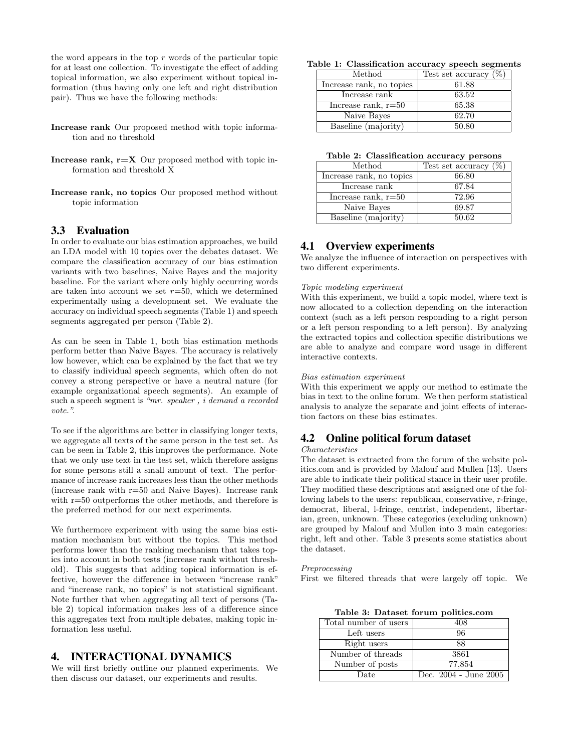the word appears in the top  $r$  words of the particular topic for at least one collection. To investigate the effect of adding topical information, we also experiment without topical information (thus having only one left and right distribution pair). Thus we have the following methods:

- Increase rank Our proposed method with topic information and no threshold
- Increase rank,  $r=X$  Our proposed method with topic information and threshold X
- Increase rank, no topics Our proposed method without topic information

# 3.3 Evaluation

In order to evaluate our bias estimation approaches, we build an LDA model with 10 topics over the debates dataset. We compare the classification accuracy of our bias estimation variants with two baselines, Naive Bayes and the majority baseline. For the variant where only highly occurring words are taken into account we set  $r=50$ , which we determined experimentally using a development set. We evaluate the accuracy on individual speech segments (Table 1) and speech segments aggregated per person (Table 2).

As can be seen in Table 1, both bias estimation methods perform better than Naive Bayes. The accuracy is relatively low however, which can be explained by the fact that we try to classify individual speech segments, which often do not convey a strong perspective or have a neutral nature (for example organizational speech segments). An example of such a speech segment is "mr. speaker , i demand a recorded vote.".

To see if the algorithms are better in classifying longer texts, we aggregate all texts of the same person in the test set. As can be seen in Table 2, this improves the performance. Note that we only use text in the test set, which therefore assigns for some persons still a small amount of text. The performance of increase rank increases less than the other methods (increase rank with r=50 and Naive Bayes). Increase rank with r=50 outperforms the other methods, and therefore is the preferred method for our next experiments.

We furthermore experiment with using the same bias estimation mechanism but without the topics. This method performs lower than the ranking mechanism that takes topics into account in both tests (increase rank without threshold). This suggests that adding topical information is effective, however the difference in between "increase rank" and "increase rank, no topics" is not statistical significant. Note further that when aggregating all text of persons (Table 2) topical information makes less of a difference since this aggregates text from multiple debates, making topic information less useful.

# 4. INTERACTIONAL DYNAMICS

We will first briefly outline our planned experiments. We then discuss our dataset, our experiments and results.

Table 1: Classification accuracy speech segments

| Method                   | Test set accuracy (<br>$\%$ |
|--------------------------|-----------------------------|
| Increase rank, no topics | 61.88                       |
| Increase rank            | 63.52                       |
| Increase rank, $r=50$    | 65.38                       |
| Naive Bayes              | 62.70                       |
| Baseline (majority)      | 50.80                       |

|  | Table 2: Classification accuracy persons |  |  |
|--|------------------------------------------|--|--|
|--|------------------------------------------|--|--|

| Method                   | Test set accuracy $(\%)$ |
|--------------------------|--------------------------|
| Increase rank, no topics | 66.80                    |
| Increase rank            | 67.84                    |
| Increase rank, $r=50$    | 72.96                    |
| Naive Bayes              | 69.87                    |
| Baseline (majority)      | 50.62                    |

# 4.1 Overview experiments

We analyze the influence of interaction on perspectives with two different experiments.

#### Topic modeling experiment

With this experiment, we build a topic model, where text is now allocated to a collection depending on the interaction context (such as a left person responding to a right person or a left person responding to a left person). By analyzing the extracted topics and collection specific distributions we are able to analyze and compare word usage in different interactive contexts.

#### Bias estimation experiment

With this experiment we apply our method to estimate the bias in text to the online forum. We then perform statistical analysis to analyze the separate and joint effects of interaction factors on these bias estimates.

#### 4.2 Online political forum dataset Characteristics

The dataset is extracted from the forum of the website politics.com and is provided by Malouf and Mullen [13]. Users are able to indicate their political stance in their user profile. They modified these descriptions and assigned one of the following labels to the users: republican, conservative, r-fringe, democrat, liberal, l-fringe, centrist, independent, libertarian, green, unknown. These categories (excluding unknown) are grouped by Malouf and Mullen into 3 main categories: right, left and other. Table 3 presents some statistics about the dataset.

Preprocessing First we filtered threads that were largely off topic. We

Table 3: Dataset forum politics.com

| Total number of users | 408                   |
|-----------------------|-----------------------|
| Left users            | 96                    |
| Right users           | 88                    |
| Number of threads     | 3861                  |
| Number of posts       | 77,854                |
| Date                  | Dec. 2004 - June 2005 |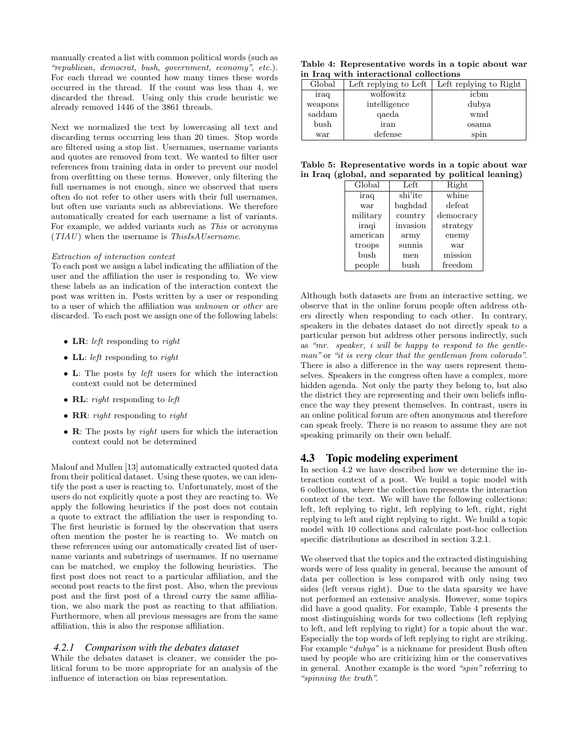manually created a list with common political words (such as "republican, democrat, bush, government, economy", etc.). For each thread we counted how many times these words occurred in the thread. If the count was less than 4, we discarded the thread. Using only this crude heuristic we already removed 1446 of the 3861 threads.

Next we normalized the text by lowercasing all text and discarding terms occurring less than 20 times. Stop words are filtered using a stop list. Usernames, username variants and quotes are removed from text. We wanted to filter user references from training data in order to prevent our model from overfitting on these terms. However, only filtering the full usernames is not enough, since we observed that users often do not refer to other users with their full usernames, but often use variants such as abbreviations. We therefore automatically created for each username a list of variants. For example, we added variants such as This or acronyms  $(TIAU)$  when the username is  $This IsA Username$ .

#### Extraction of interaction context

To each post we assign a label indicating the affiliation of the user and the affiliation the user is responding to. We view these labels as an indication of the interaction context the post was written in. Posts written by a user or responding to a user of which the affiliation was unknown or other are discarded. To each post we assign one of the following labels:

- LR: left responding to right
- LL: *left* responding to *right*
- L: The posts by *left* users for which the interaction context could not be determined
- RL:  $right$  responding to left
- RR: right responding to right
- **R**: The posts by *right* users for which the interaction context could not be determined

Malouf and Mullen [13] automatically extracted quoted data from their political dataset. Using these quotes, we can identify the post a user is reacting to. Unfortunately, most of the users do not explicitly quote a post they are reacting to. We apply the following heuristics if the post does not contain a quote to extract the affiliation the user is responding to. The first heuristic is formed by the observation that users often mention the poster he is reacting to. We match on these references using our automatically created list of username variants and substrings of usernames. If no username can be matched, we employ the following heuristics. The first post does not react to a particular affiliation, and the second post reacts to the first post. Also, when the previous post and the first post of a thread carry the same affiliation, we also mark the post as reacting to that affiliation. Furthermore, when all previous messages are from the same affiliation, this is also the response affiliation.

### *4.2.1 Comparison with the debates dataset*

While the debates dataset is cleaner, we consider the political forum to be more appropriate for an analysis of the influence of interaction on bias representation.

| Table 4: Representative words in a topic about war |  |
|----------------------------------------------------|--|
| in Iraq with interactional collections             |  |

| Global  | Left replying to Left | Left replying to Right |
|---------|-----------------------|------------------------|
| iraq    | wolfowitz             | icbm                   |
| weapons | intelligence          | dubya                  |
| saddam  | qaeda                 | wmd                    |
| bush    | iran                  | osama                  |
| war     | defense               | spin                   |

Table 5: Representative words in a topic about war in Iraq (global, and separated by political leaning)

| Global   | Left     | Right     |
|----------|----------|-----------|
| iraq     | shi'ite  | whine     |
| war      | baghdad  | defeat    |
| military | country  | democracy |
| iraqi    | invasion | strategy  |
| american | army     | enemy     |
| troops   | sunnis   | war       |
| bush     | men      | mission   |
| people   | bush     | freedom   |

Although both datasets are from an interactive setting, we observe that in the online forum people often address others directly when responding to each other. In contrary, speakers in the debates dataset do not directly speak to a particular person but address other persons indirectly, such as "mr. speaker, i will be happy to respond to the gentleman" or "it is very clear that the gentleman from colorado". There is also a difference in the way users represent themselves. Speakers in the congress often have a complex, more hidden agenda. Not only the party they belong to, but also the district they are representing and their own beliefs influence the way they present themselves. In contrast, users in an online political forum are often anonymous and therefore can speak freely. There is no reason to assume they are not speaking primarily on their own behalf.

### 4.3 Topic modeling experiment

In section 4.2 we have described how we determine the interaction context of a post. We build a topic model with 6 collections, where the collection represents the interaction context of the text. We will have the following collections: left, left replying to right, left replying to left, right, right replying to left and right replying to right. We build a topic model with 10 collections and calculate post-hoc collection specific distributions as described in section 3.2.1.

We observed that the topics and the extracted distinguishing words were of less quality in general, because the amount of data per collection is less compared with only using two sides (left versus right). Due to the data sparsity we have not performed an extensive analysis. However, some topics did have a good quality. For example, Table 4 presents the most distinguishing words for two collections (left replying to left, and left replying to right) for a topic about the war. Especially the top words of left replying to right are striking. For example "dubya" is a nickname for president Bush often used by people who are criticizing him or the conservatives in general. Another example is the word "spin" referring to "spinning the truth".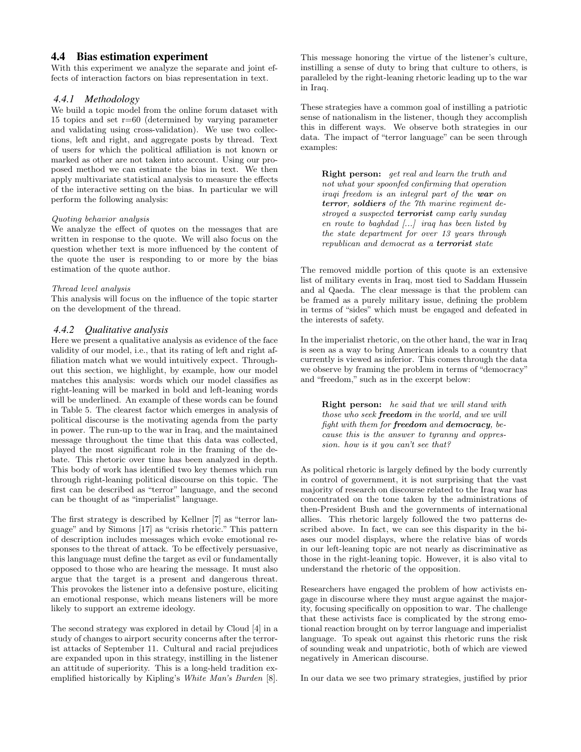# 4.4 Bias estimation experiment

With this experiment we analyze the separate and joint effects of interaction factors on bias representation in text.

# *4.4.1 Methodology*

We build a topic model from the online forum dataset with 15 topics and set r=60 (determined by varying parameter and validating using cross-validation). We use two collections, left and right, and aggregate posts by thread. Text of users for which the political affiliation is not known or marked as other are not taken into account. Using our proposed method we can estimate the bias in text. We then apply multivariate statistical analysis to measure the effects of the interactive setting on the bias. In particular we will perform the following analysis:

#### Quoting behavior analysis

We analyze the effect of quotes on the messages that are written in response to the quote. We will also focus on the question whether text is more influenced by the content of the quote the user is responding to or more by the bias estimation of the quote author.

#### Thread level analysis

This analysis will focus on the influence of the topic starter on the development of the thread.

### *4.4.2 Qualitative analysis*

Here we present a qualitative analysis as evidence of the face validity of our model, i.e., that its rating of left and right affiliation match what we would intuitively expect. Throughout this section, we highlight, by example, how our model matches this analysis: words which our model classifies as right-leaning will be marked in bold and left-leaning words will be underlined. An example of these words can be found in Table 5. The clearest factor which emerges in analysis of political discourse is the motivating agenda from the party in power. The run-up to the war in Iraq, and the maintained message throughout the time that this data was collected, played the most significant role in the framing of the debate. This rhetoric over time has been analyzed in depth. This body of work has identified two key themes which run through right-leaning political discourse on this topic. The first can be described as "terror" language, and the second can be thought of as "imperialist" language.

The first strategy is described by Kellner [7] as "terror language" and by Simons [17] as "crisis rhetoric." This pattern of description includes messages which evoke emotional responses to the threat of attack. To be effectively persuasive, this language must define the target as evil or fundamentally opposed to those who are hearing the message. It must also argue that the target is a present and dangerous threat. This provokes the listener into a defensive posture, eliciting an emotional response, which means listeners will be more likely to support an extreme ideology.

The second strategy was explored in detail by Cloud [4] in a study of changes to airport security concerns after the terrorist attacks of September 11. Cultural and racial prejudices are expanded upon in this strategy, instilling in the listener an attitude of superiority. This is a long-held tradition exemplified historically by Kipling's White Man's Burden [8]. This message honoring the virtue of the listener's culture, instilling a sense of duty to bring that culture to others, is paralleled by the right-leaning rhetoric leading up to the war in Iraq.

These strategies have a common goal of instilling a patriotic sense of nationalism in the listener, though they accomplish this in different ways. We observe both strategies in our data. The impact of "terror language" can be seen through examples:

Right person: get real and learn the truth and not what your spoonfed confirming that operation iraqi freedom is an integral part of the war on terror, soldiers of the 7th marine regiment destroyed a suspected terrorist camp early sunday en route to baghdad [...] iraq has been listed by the state department for over 13 years through republican and democrat as a terrorist state

The removed middle portion of this quote is an extensive list of military events in Iraq, most tied to Saddam Hussein and al Qaeda. The clear message is that the problem can be framed as a purely military issue, defining the problem in terms of "sides" which must be engaged and defeated in the interests of safety.

In the imperialist rhetoric, on the other hand, the war in Iraq is seen as a way to bring American ideals to a country that currently is viewed as inferior. This comes through the data we observe by framing the problem in terms of "democracy" and "freedom," such as in the excerpt below:

Right person: he said that we will stand with those who seek freedom in the world, and we will fight with them for freedom and democracy, because this is the answer to tyranny and oppression. how is it you can't see that?

As political rhetoric is largely defined by the body currently in control of government, it is not surprising that the vast majority of research on discourse related to the Iraq war has concentrated on the tone taken by the administrations of then-President Bush and the governments of international allies. This rhetoric largely followed the two patterns described above. In fact, we can see this disparity in the biases our model displays, where the relative bias of words in our left-leaning topic are not nearly as discriminative as those in the right-leaning topic. However, it is also vital to understand the rhetoric of the opposition.

Researchers have engaged the problem of how activists engage in discourse where they must argue against the majority, focusing specifically on opposition to war. The challenge that these activists face is complicated by the strong emotional reaction brought on by terror language and imperialist language. To speak out against this rhetoric runs the risk of sounding weak and unpatriotic, both of which are viewed negatively in American discourse.

In our data we see two primary strategies, justified by prior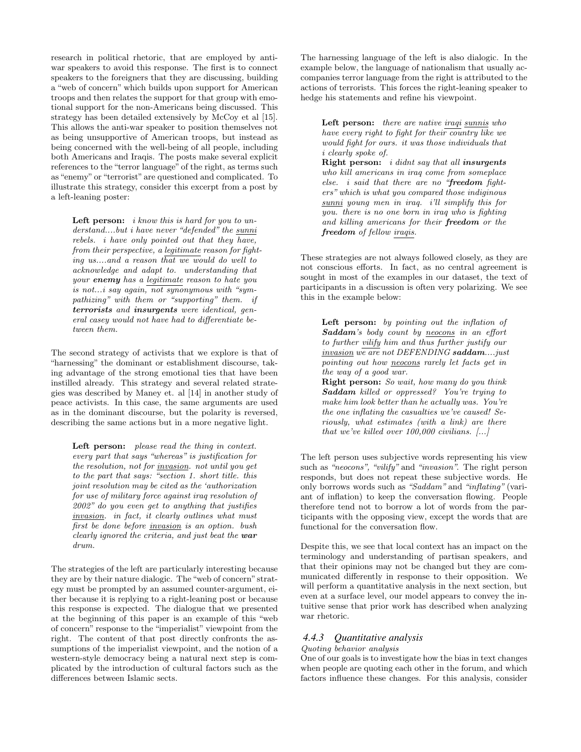research in political rhetoric, that are employed by antiwar speakers to avoid this response. The first is to connect speakers to the foreigners that they are discussing, building a "web of concern" which builds upon support for American troops and then relates the support for that group with emotional support for the non-Americans being discussed. This strategy has been detailed extensively by McCoy et al [15]. This allows the anti-war speaker to position themselves not as being unsupportive of American troops, but instead as being concerned with the well-being of all people, including both Americans and Iraqis. The posts make several explicit references to the "terror language" of the right, as terms such as "enemy" or "terrorist" are questioned and complicated. To illustrate this strategy, consider this excerpt from a post by a left-leaning poster:

Left person:  $i$  know this is hard for you to understand....but i have never "defended" the sunni rebels. i have only pointed out that they have, from their perspective, a legitimate reason for fighting us....and a reason that we would do well to acknowledge and adapt to. understanding that your enemy has a legitimate reason to hate you is not...i say again, not synonymous with "sympathizing" with them or "supporting" them. if terrorists and insurgents were identical, general casey would not have had to differentiate between them.

The second strategy of activists that we explore is that of "harnessing" the dominant or establishment discourse, taking advantage of the strong emotional ties that have been instilled already. This strategy and several related strategies was described by Maney et. al [14] in another study of peace activists. In this case, the same arguments are used as in the dominant discourse, but the polarity is reversed, describing the same actions but in a more negative light.

Left person: please read the thing in context. every part that says "whereas" is justification for the resolution, not for invasion. not until you get to the part that says: "section 1. short title. this joint resolution may be cited as the 'authorization for use of military force against iraq resolution of 2002" do you even get to anything that justifies invasion. in fact, it clearly outlines what must first be done before invasion is an option. bush clearly ignored the criteria, and just beat the war drum.

The strategies of the left are particularly interesting because they are by their nature dialogic. The "web of concern" strategy must be prompted by an assumed counter-argument, either because it is replying to a right-leaning post or because this response is expected. The dialogue that we presented at the beginning of this paper is an example of this "web of concern" response to the "imperialist" viewpoint from the right. The content of that post directly confronts the assumptions of the imperialist viewpoint, and the notion of a western-style democracy being a natural next step is complicated by the introduction of cultural factors such as the differences between Islamic sects.

The harnessing language of the left is also dialogic. In the example below, the language of nationalism that usually accompanies terror language from the right is attributed to the actions of terrorists. This forces the right-leaning speaker to hedge his statements and refine his viewpoint.

Left person: there are native iraqi sunnis who have every right to fight for their country like we would fight for ours. it was those individuals that i clearly spoke of.

Right person: i didnt say that all insurgents who kill americans in iraq come from someplace else.  $i$  said that there are no "freedom fighters" which is what you compared those indiginous sunni young men in iraq. i'll simplify this for you. there is no one born in iraq who is fighting and killing americans for their freedom or the freedom of fellow iraqis.

These strategies are not always followed closely, as they are not conscious efforts. In fact, as no central agreement is sought in most of the examples in our dataset, the text of participants in a discussion is often very polarizing. We see this in the example below:

Left person: by pointing out the inflation of Saddam's body count by neocons in an effort to further vilify him and thus further justify our invasion we are not DEFENDING saddam....just pointing out how neocons rarely let facts get in the way of a good war. Right person: So wait, how many do you think Saddam killed or oppressed? You're trying to make him look better than he actually was. You're the one inflating the casualties we've caused! Seriously, what estimates (with a link) are there that we've killed over 100,000 civilians. [...]

The left person uses subjective words representing his view such as "neocons", "vilify" and "invasion". The right person responds, but does not repeat these subjective words. He only borrows words such as "Saddam" and "inflating" (variant of inflation) to keep the conversation flowing. People therefore tend not to borrow a lot of words from the participants with the opposing view, except the words that are functional for the conversation flow.

Despite this, we see that local context has an impact on the terminology and understanding of partisan speakers, and that their opinions may not be changed but they are communicated differently in response to their opposition. We will perform a quantitative analysis in the next section, but even at a surface level, our model appears to convey the intuitive sense that prior work has described when analyzing war rhetoric.

# *4.4.3 Quantitative analysis*

#### Quoting behavior analysis

One of our goals is to investigate how the bias in text changes when people are quoting each other in the forum, and which factors influence these changes. For this analysis, consider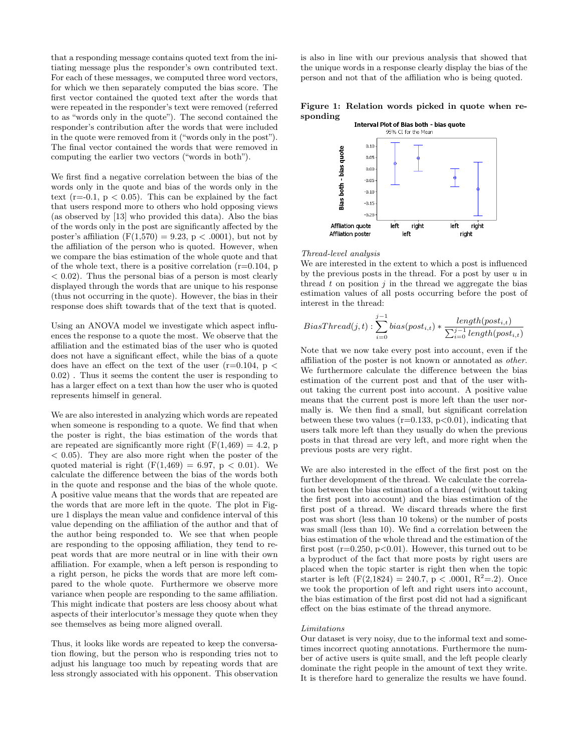that a responding message contains quoted text from the initiating message plus the responder's own contributed text. For each of these messages, we computed three word vectors, for which we then separately computed the bias score. The first vector contained the quoted text after the words that were repeated in the responder's text were removed (referred to as "words only in the quote"). The second contained the responder's contribution after the words that were included in the quote were removed from it ("words only in the post"). The final vector contained the words that were removed in computing the earlier two vectors ("words in both").

We first find a negative correlation between the bias of the words only in the quote and bias of the words only in the text ( $r=-0.1$ ,  $p < 0.05$ ). This can be explained by the fact that users respond more to others who hold opposing views (as observed by [13] who provided this data). Also the bias of the words only in the post are significantly affected by the poster's affiliation  $(F(1,570) = 9.23, p < .0001)$ , but not by the affiliation of the person who is quoted. However, when we compare the bias estimation of the whole quote and that of the whole text, there is a positive correlation  $(r=0.104, p$  $< 0.02$ ). Thus the personal bias of a person is most clearly displayed through the words that are unique to his response (thus not occurring in the quote). However, the bias in their response does shift towards that of the text that is quoted.

Using an ANOVA model we investigate which aspect influences the response to a quote the most. We observe that the affiliation and the estimated bias of the user who is quoted does not have a significant effect, while the bias of a quote does have an effect on the text of the user  $(r=0.104, p <$ 0.02) . Thus it seems the content the user is responding to has a larger effect on a text than how the user who is quoted represents himself in general.

We are also interested in analyzing which words are repeated when someone is responding to a quote. We find that when the poster is right, the bias estimation of the words that are repeated are significantly more right  $(F(1,469) = 4.2, p)$  $< 0.05$ ). They are also more right when the poster of the quoted material is right  $(F(1,469) = 6.97, p < 0.01)$ . We calculate the difference between the bias of the words both in the quote and response and the bias of the whole quote. A positive value means that the words that are repeated are the words that are more left in the quote. The plot in Figure 1 displays the mean value and confidence interval of this value depending on the affiliation of the author and that of the author being responded to. We see that when people are responding to the opposing affiliation, they tend to repeat words that are more neutral or in line with their own affiliation. For example, when a left person is responding to a right person, he picks the words that are more left compared to the whole quote. Furthermore we observe more variance when people are responding to the same affiliation. This might indicate that posters are less choosy about what aspects of their interlocutor's message they quote when they see themselves as being more aligned overall.

Thus, it looks like words are repeated to keep the conversation flowing, but the person who is responding tries not to adjust his language too much by repeating words that are less strongly associated with his opponent. This observation is also in line with our previous analysis that showed that the unique words in a response clearly display the bias of the person and not that of the affiliation who is being quoted.

Figure 1: Relation words picked in quote when responding



#### Thread-level analysis

We are interested in the extent to which a post is influenced by the previous posts in the thread. For a post by user  $u$  in thread t on position  $j$  in the thread we aggregate the bias estimation values of all posts occurring before the post of interest in the thread:

$$
BiasThread(j, t): \sum_{i=0}^{j-1} bias(post_{i,t}) * \frac{length(post_{i,t})}{\sum_{i=0}^{j-1} length(post_{i,t})}
$$

Note that we now take every post into account, even if the affiliation of the poster is not known or annotated as other. We furthermore calculate the difference between the bias estimation of the current post and that of the user without taking the current post into account. A positive value means that the current post is more left than the user normally is. We then find a small, but significant correlation between these two values  $(r=0.133, p<0.01)$ , indicating that users talk more left than they usually do when the previous posts in that thread are very left, and more right when the previous posts are very right.

We are also interested in the effect of the first post on the further development of the thread. We calculate the correlation between the bias estimation of a thread (without taking the first post into account) and the bias estimation of the first post of a thread. We discard threads where the first post was short (less than 10 tokens) or the number of posts was small (less than 10). We find a correlation between the bias estimation of the whole thread and the estimation of the first post  $(r=0.250, p<0.01)$ . However, this turned out to be a byproduct of the fact that more posts by right users are placed when the topic starter is right then when the topic starter is left  $(F(2,1824) = 240.7, p < .0001, R^2 = .2)$ . Once we took the proportion of left and right users into account, the bias estimation of the first post did not had a significant effect on the bias estimate of the thread anymore.

#### Limitations

Our dataset is very noisy, due to the informal text and sometimes incorrect quoting annotations. Furthermore the number of active users is quite small, and the left people clearly dominate the right people in the amount of text they write. It is therefore hard to generalize the results we have found.